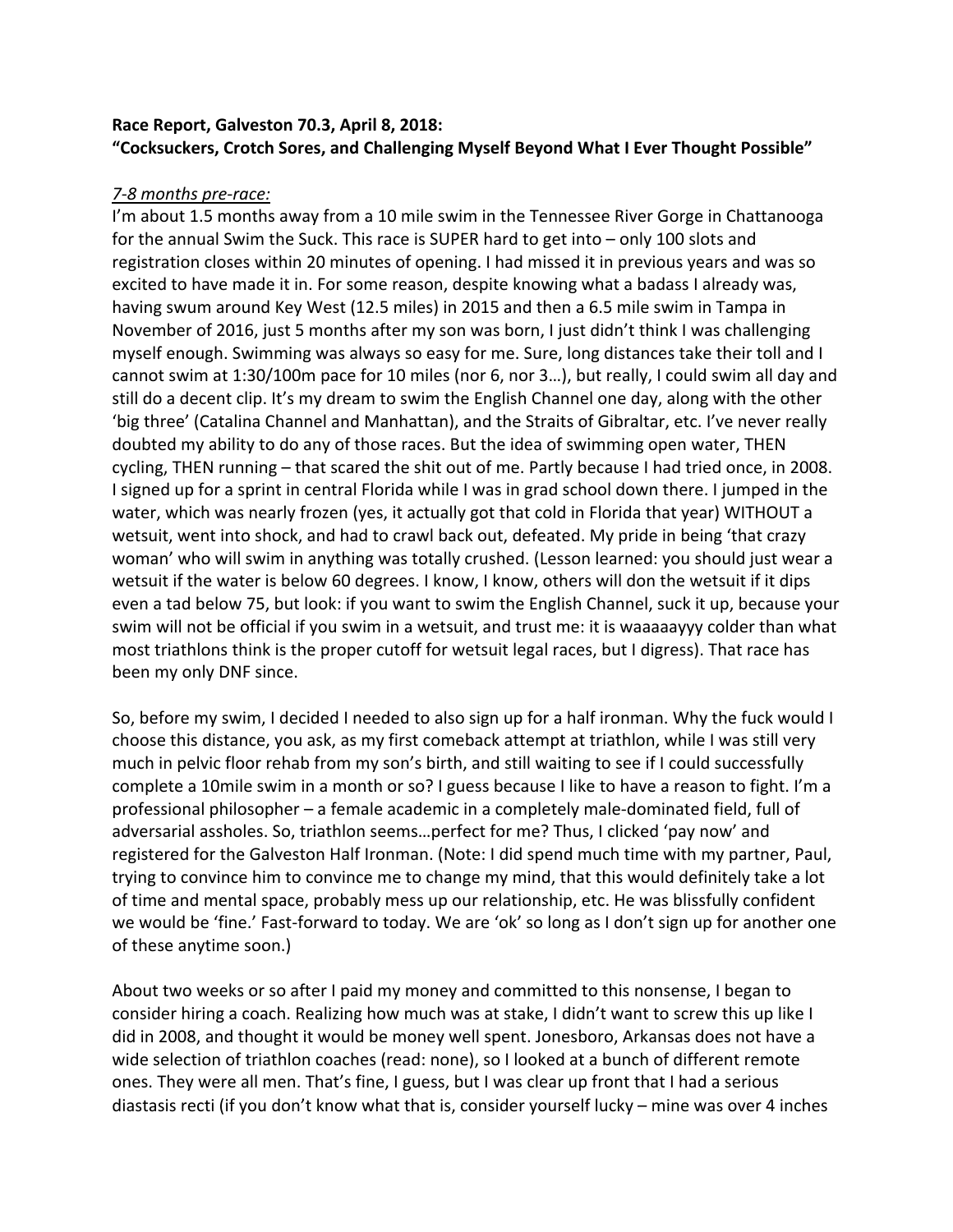# **Race Report, Galveston 70.3, April 8, 2018:** "Cocksuckers, Crotch Sores, and Challenging Myself Beyond What I Ever Thought Possible"

## *7-8 months pre-race:*

I'm about 1.5 months away from a 10 mile swim in the Tennessee River Gorge in Chattanooga for the annual Swim the Suck. This race is SUPER hard to get into  $-$  only 100 slots and registration closes within 20 minutes of opening. I had missed it in previous years and was so excited to have made it in. For some reason, despite knowing what a badass I already was, having swum around Key West (12.5 miles) in 2015 and then a 6.5 mile swim in Tampa in November of 2016, just 5 months after my son was born, I just didn't think I was challenging myself enough. Swimming was always so easy for me. Sure, long distances take their toll and  $I$ cannot swim at 1:30/100m pace for 10 miles (nor 6, nor 3...), but really, I could swim all day and still do a decent clip. It's my dream to swim the English Channel one day, along with the other 'big three' (Catalina Channel and Manhattan), and the Straits of Gibraltar, etc. I've never really doubted my ability to do any of those races. But the idea of swimming open water, THEN cycling, THEN running – that scared the shit out of me. Partly because I had tried once, in 2008. I signed up for a sprint in central Florida while I was in grad school down there. I jumped in the water, which was nearly frozen (yes, it actually got that cold in Florida that year) WITHOUT a wetsuit, went into shock, and had to crawl back out, defeated. My pride in being 'that crazy woman' who will swim in anything was totally crushed. (Lesson learned: you should just wear a wetsuit if the water is below 60 degrees. I know, I know, others will don the wetsuit if it dips even a tad below 75, but look: if you want to swim the English Channel, suck it up, because your swim will not be official if you swim in a wetsuit, and trust me: it is waaaaayyy colder than what most triathlons think is the proper cutoff for wetsuit legal races, but I digress). That race has been my only DNF since.

So, before my swim, I decided I needed to also sign up for a half ironman. Why the fuck would I choose this distance, you ask, as my first comeback attempt at triathlon, while I was still very much in pelvic floor rehab from my son's birth, and still waiting to see if I could successfully complete a 10mile swim in a month or so? I guess because I like to have a reason to fight. I'm a professional philosopher – a female academic in a completely male-dominated field, full of adversarial assholes. So, triathlon seems...perfect for me? Thus, I clicked 'pay now' and registered for the Galveston Half Ironman. (Note: I did spend much time with my partner, Paul, trying to convince him to convince me to change my mind, that this would definitely take a lot of time and mental space, probably mess up our relationship, etc. He was blissfully confident we would be 'fine.' Fast-forward to today. We are 'ok' so long as I don't sign up for another one of these anytime soon.)

About two weeks or so after I paid my money and committed to this nonsense, I began to consider hiring a coach. Realizing how much was at stake, I didn't want to screw this up like I did in 2008, and thought it would be money well spent. Jonesboro, Arkansas does not have a wide selection of triathlon coaches (read: none), so I looked at a bunch of different remote ones. They were all men. That's fine, I guess, but I was clear up front that I had a serious diastasis recti (if you don't know what that is, consider yourself lucky – mine was over 4 inches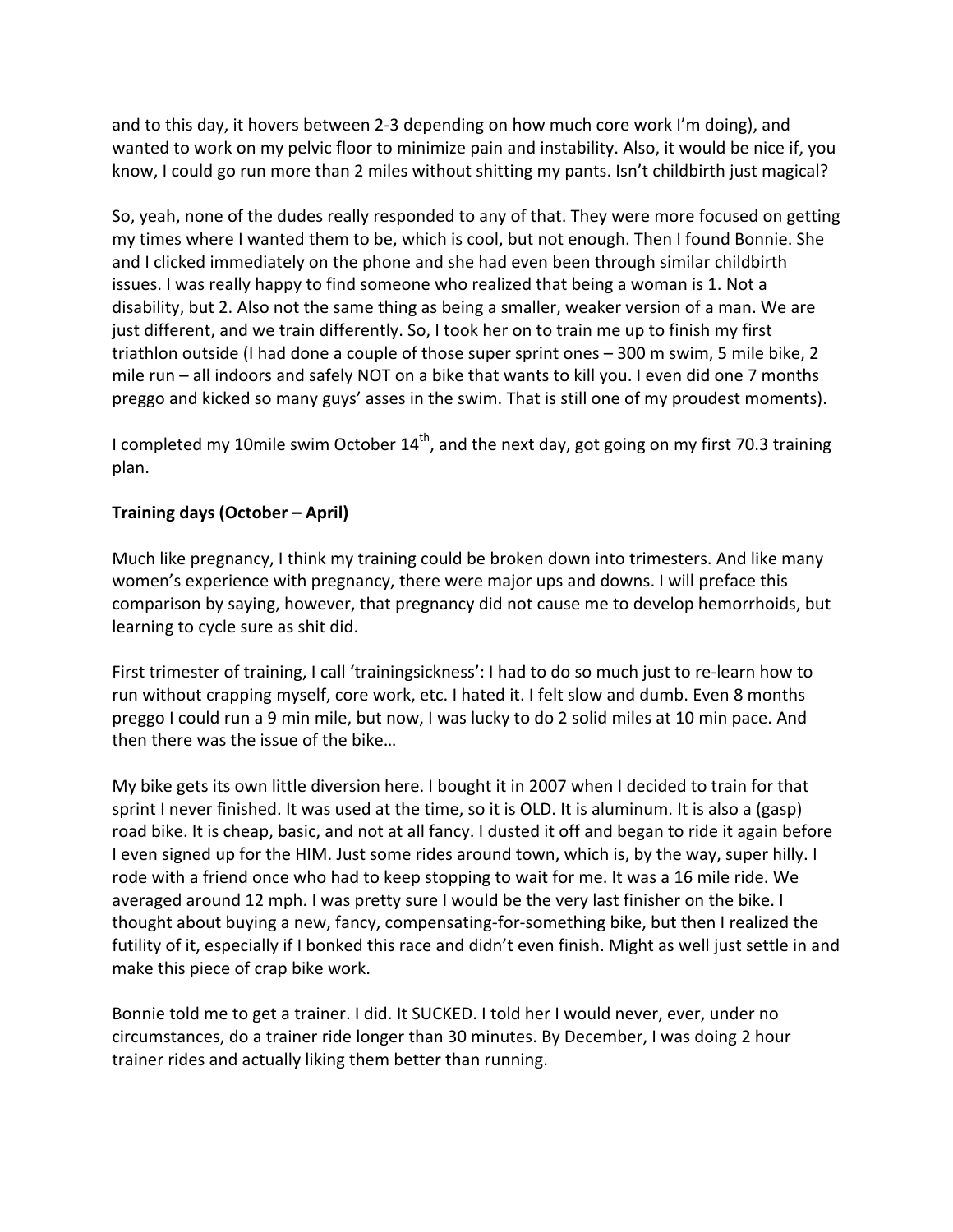and to this day, it hovers between 2-3 depending on how much core work I'm doing), and wanted to work on my pelvic floor to minimize pain and instability. Also, it would be nice if, you know, I could go run more than 2 miles without shitting my pants. Isn't childbirth just magical?

So, yeah, none of the dudes really responded to any of that. They were more focused on getting my times where I wanted them to be, which is cool, but not enough. Then I found Bonnie. She and I clicked immediately on the phone and she had even been through similar childbirth issues. I was really happy to find someone who realized that being a woman is 1. Not a disability, but 2. Also not the same thing as being a smaller, weaker version of a man. We are just different, and we train differently. So, I took her on to train me up to finish my first triathlon outside (I had done a couple of those super sprint ones – 300 m swim, 5 mile bike, 2 mile  $run$  – all indoors and safely NOT on a bike that wants to kill you. I even did one 7 months preggo and kicked so many guys' asses in the swim. That is still one of my proudest moments).

I completed my 10mile swim October  $14^{th}$ , and the next day, got going on my first 70.3 training plan. 

## **Training days (October – April)**

Much like pregnancy, I think my training could be broken down into trimesters. And like many women's experience with pregnancy, there were major ups and downs. I will preface this comparison by saying, however, that pregnancy did not cause me to develop hemorrhoids, but learning to cycle sure as shit did.

First trimester of training, I call 'trainingsickness': I had to do so much just to re-learn how to run without crapping myself, core work, etc. I hated it. I felt slow and dumb. Even 8 months preggo I could run a 9 min mile, but now, I was lucky to do 2 solid miles at 10 min pace. And then there was the issue of the bike...

My bike gets its own little diversion here. I bought it in 2007 when I decided to train for that sprint I never finished. It was used at the time, so it is OLD. It is aluminum. It is also a (gasp) road bike. It is cheap, basic, and not at all fancy. I dusted it off and began to ride it again before I even signed up for the HIM. Just some rides around town, which is, by the way, super hilly. I rode with a friend once who had to keep stopping to wait for me. It was a 16 mile ride. We averaged around 12 mph. I was pretty sure I would be the very last finisher on the bike. I thought about buying a new, fancy, compensating-for-something bike, but then I realized the futility of it, especially if I bonked this race and didn't even finish. Might as well just settle in and make this piece of crap bike work.

Bonnie told me to get a trainer. I did. It SUCKED. I told her I would never, ever, under no circumstances, do a trainer ride longer than 30 minutes. By December, I was doing 2 hour trainer rides and actually liking them better than running.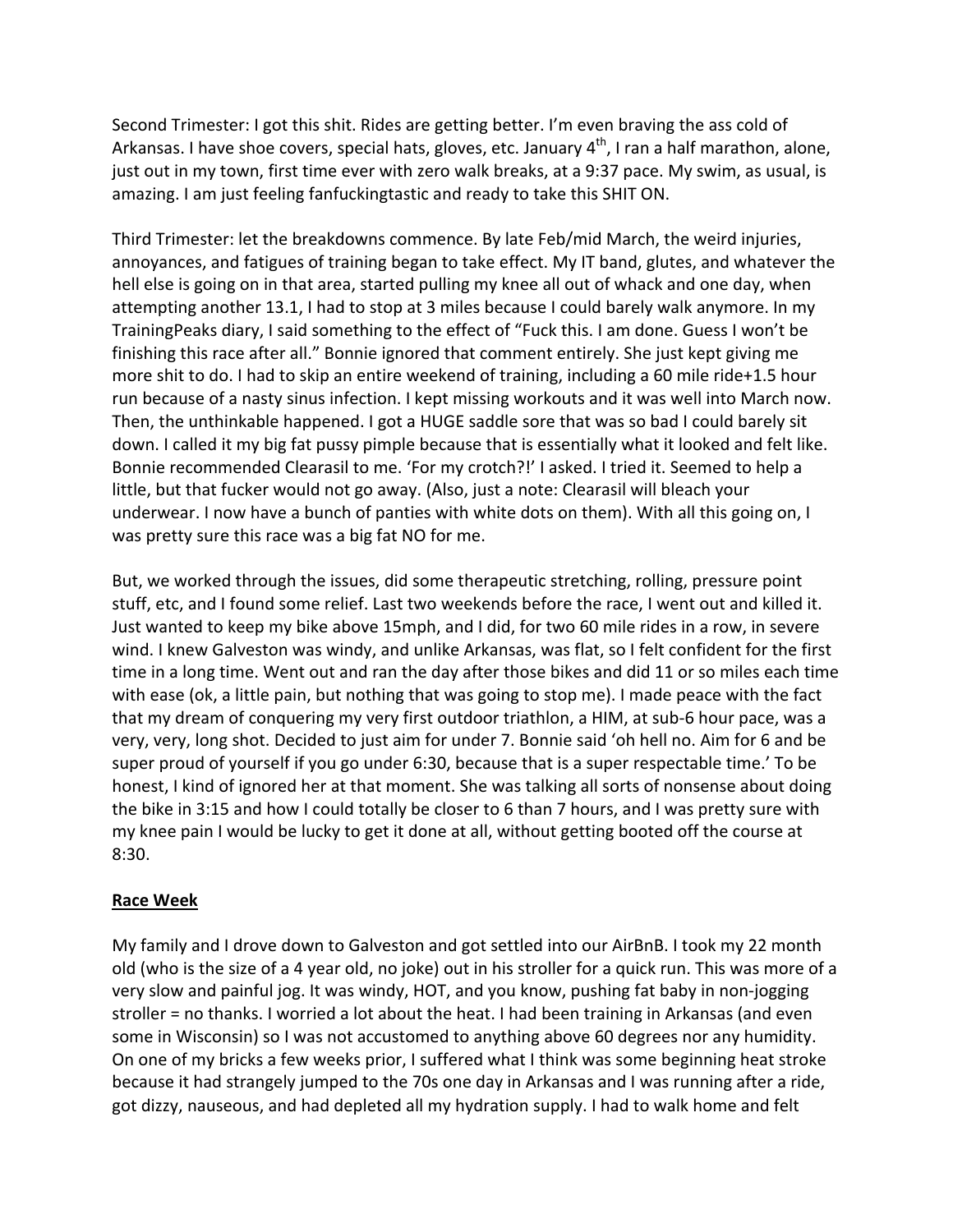Second Trimester: I got this shit. Rides are getting better. I'm even braving the ass cold of Arkansas. I have shoe covers, special hats, gloves, etc. January  $4<sup>th</sup>$ , I ran a half marathon, alone, just out in my town, first time ever with zero walk breaks, at a 9:37 pace. My swim, as usual, is amazing. I am just feeling fanfuckingtastic and ready to take this SHIT ON.

Third Trimester: let the breakdowns commence. By late Feb/mid March, the weird injuries, annoyances, and fatigues of training began to take effect. My IT band, glutes, and whatever the hell else is going on in that area, started pulling my knee all out of whack and one day, when attempting another 13.1, I had to stop at 3 miles because I could barely walk anymore. In my TrainingPeaks diary, I said something to the effect of "Fuck this. I am done. Guess I won't be finishing this race after all." Bonnie ignored that comment entirely. She just kept giving me more shit to do. I had to skip an entire weekend of training, including a 60 mile ride+1.5 hour run because of a nasty sinus infection. I kept missing workouts and it was well into March now. Then, the unthinkable happened. I got a HUGE saddle sore that was so bad I could barely sit down. I called it my big fat pussy pimple because that is essentially what it looked and felt like. Bonnie recommended Clearasil to me. 'For my crotch?!' I asked. I tried it. Seemed to help a little, but that fucker would not go away. (Also, just a note: Clearasil will bleach your underwear. I now have a bunch of panties with white dots on them). With all this going on, I was pretty sure this race was a big fat NO for me.

But, we worked through the issues, did some therapeutic stretching, rolling, pressure point stuff, etc, and I found some relief. Last two weekends before the race, I went out and killed it. Just wanted to keep my bike above 15mph, and I did, for two 60 mile rides in a row, in severe wind. I knew Galveston was windy, and unlike Arkansas, was flat, so I felt confident for the first time in a long time. Went out and ran the day after those bikes and did 11 or so miles each time with ease (ok, a little pain, but nothing that was going to stop me). I made peace with the fact that my dream of conquering my very first outdoor triathlon, a HIM, at sub-6 hour pace, was a very, very, long shot. Decided to just aim for under 7. Bonnie said 'oh hell no. Aim for 6 and be super proud of yourself if you go under 6:30, because that is a super respectable time.' To be honest, I kind of ignored her at that moment. She was talking all sorts of nonsense about doing the bike in 3:15 and how I could totally be closer to 6 than 7 hours, and I was pretty sure with my knee pain I would be lucky to get it done at all, without getting booted off the course at 8:30. 

#### **Race Week**

My family and I drove down to Galveston and got settled into our AirBnB. I took my 22 month old (who is the size of a 4 year old, no joke) out in his stroller for a quick run. This was more of a very slow and painful jog. It was windy, HOT, and you know, pushing fat baby in non-jogging stroller = no thanks. I worried a lot about the heat. I had been training in Arkansas (and even some in Wisconsin) so I was not accustomed to anything above 60 degrees nor any humidity. On one of my bricks a few weeks prior, I suffered what I think was some beginning heat stroke because it had strangely jumped to the 70s one day in Arkansas and I was running after a ride, got dizzy, nauseous, and had depleted all my hydration supply. I had to walk home and felt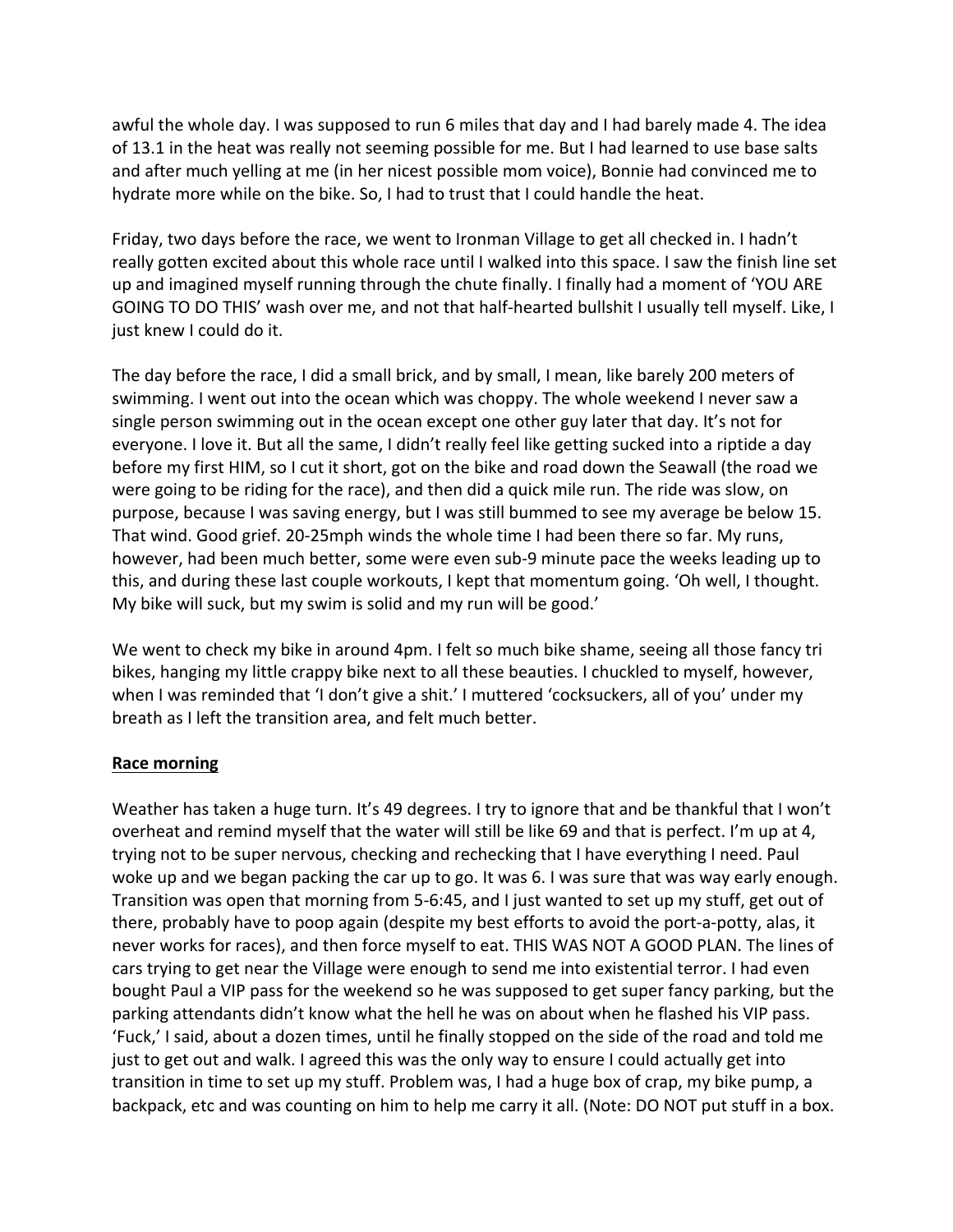awful the whole day. I was supposed to run 6 miles that day and I had barely made 4. The idea of 13.1 in the heat was really not seeming possible for me. But I had learned to use base salts and after much yelling at me (in her nicest possible mom voice), Bonnie had convinced me to hydrate more while on the bike. So, I had to trust that I could handle the heat.

Friday, two days before the race, we went to Ironman Village to get all checked in. I hadn't really gotten excited about this whole race until I walked into this space. I saw the finish line set up and imagined myself running through the chute finally. I finally had a moment of 'YOU ARE GOING TO DO THIS' wash over me, and not that half-hearted bullshit I usually tell myself. Like, I just knew I could do it.

The day before the race, I did a small brick, and by small, I mean, like barely 200 meters of swimming. I went out into the ocean which was choppy. The whole weekend I never saw a single person swimming out in the ocean except one other guy later that day. It's not for everyone. I love it. But all the same, I didn't really feel like getting sucked into a riptide a day before my first HIM, so I cut it short, got on the bike and road down the Seawall (the road we were going to be riding for the race), and then did a quick mile run. The ride was slow, on purpose, because I was saving energy, but I was still bummed to see my average be below 15. That wind. Good grief. 20-25mph winds the whole time I had been there so far. My runs, however, had been much better, some were even sub-9 minute pace the weeks leading up to this, and during these last couple workouts, I kept that momentum going. 'Oh well, I thought. My bike will suck, but my swim is solid and my run will be good.'

We went to check my bike in around 4pm. I felt so much bike shame, seeing all those fancy tri bikes, hanging my little crappy bike next to all these beauties. I chuckled to myself, however, when I was reminded that 'I don't give a shit.' I muttered 'cocksuckers, all of you' under my breath as I left the transition area, and felt much better.

## **Race morning**

Weather has taken a huge turn. It's 49 degrees. I try to ignore that and be thankful that I won't overheat and remind myself that the water will still be like 69 and that is perfect. I'm up at 4, trying not to be super nervous, checking and rechecking that I have everything I need. Paul woke up and we began packing the car up to go. It was 6. I was sure that was way early enough. Transition was open that morning from 5-6:45, and I just wanted to set up my stuff, get out of there, probably have to poop again (despite my best efforts to avoid the port-a-potty, alas, it never works for races), and then force myself to eat. THIS WAS NOT A GOOD PLAN. The lines of cars trying to get near the Village were enough to send me into existential terror. I had even bought Paul a VIP pass for the weekend so he was supposed to get super fancy parking, but the parking attendants didn't know what the hell he was on about when he flashed his VIP pass. 'Fuck,' I said, about a dozen times, until he finally stopped on the side of the road and told me just to get out and walk. I agreed this was the only way to ensure I could actually get into transition in time to set up my stuff. Problem was, I had a huge box of crap, my bike pump, a backpack, etc and was counting on him to help me carry it all. (Note: DO NOT put stuff in a box.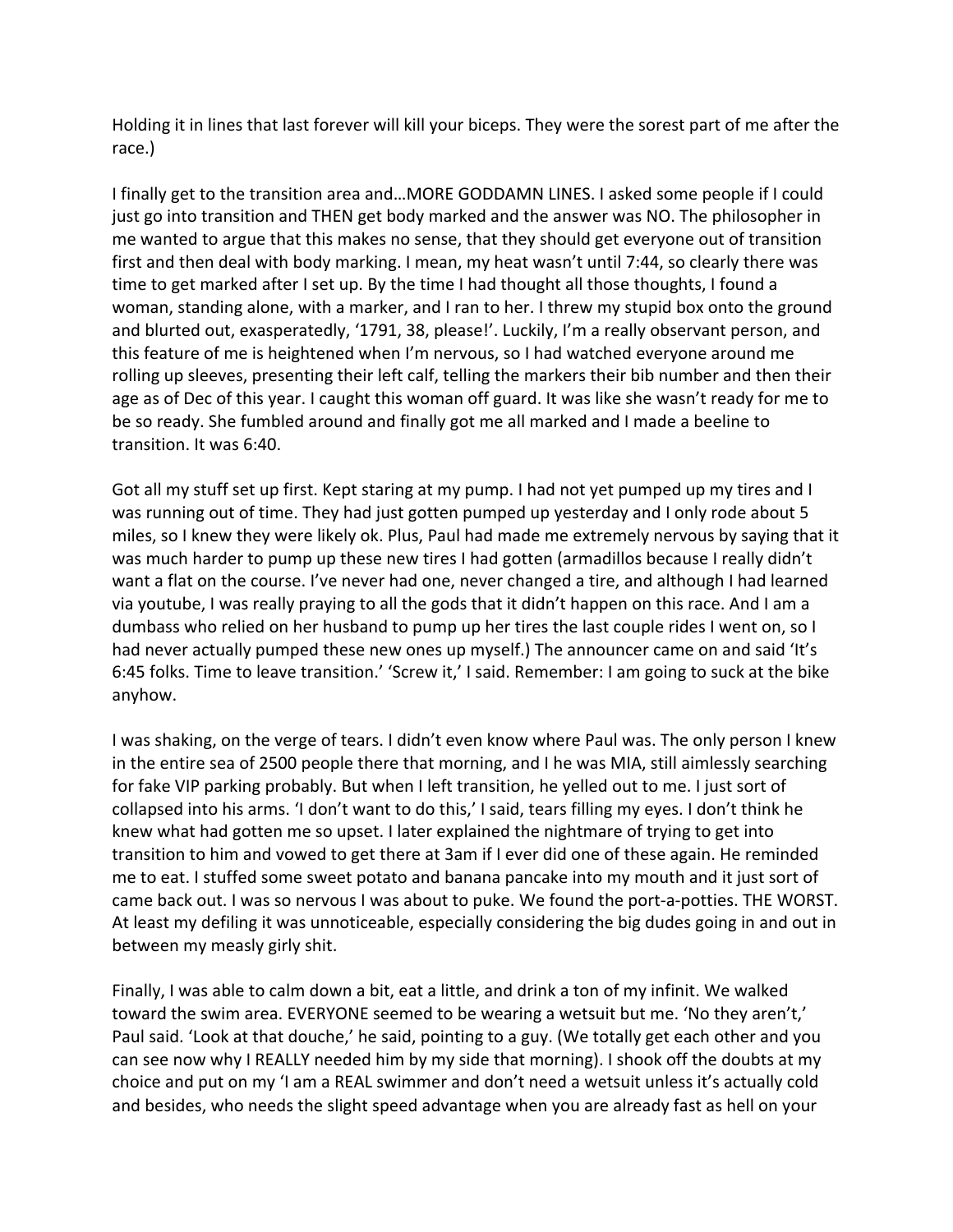Holding it in lines that last forever will kill your biceps. They were the sorest part of me after the race.) 

I finally get to the transition area and...MORE GODDAMN LINES. I asked some people if I could just go into transition and THEN get body marked and the answer was NO. The philosopher in me wanted to argue that this makes no sense, that they should get everyone out of transition first and then deal with body marking. I mean, my heat wasn't until 7:44, so clearly there was time to get marked after I set up. By the time I had thought all those thoughts, I found a woman, standing alone, with a marker, and I ran to her. I threw my stupid box onto the ground and blurted out, exasperatedly, '1791, 38, please!'. Luckily, I'm a really observant person, and this feature of me is heightened when I'm nervous, so I had watched everyone around me rolling up sleeves, presenting their left calf, telling the markers their bib number and then their age as of Dec of this year. I caught this woman off guard. It was like she wasn't ready for me to be so ready. She fumbled around and finally got me all marked and I made a beeline to transition. It was 6:40.

Got all my stuff set up first. Kept staring at my pump. I had not yet pumped up my tires and I was running out of time. They had just gotten pumped up yesterday and I only rode about 5 miles, so I knew they were likely ok. Plus, Paul had made me extremely nervous by saying that it was much harder to pump up these new tires I had gotten (armadillos because I really didn't want a flat on the course. I've never had one, never changed a tire, and although I had learned via youtube, I was really praying to all the gods that it didn't happen on this race. And I am a dumbass who relied on her husband to pump up her tires the last couple rides I went on, so I had never actually pumped these new ones up myself.) The announcer came on and said 'It's 6:45 folks. Time to leave transition.' 'Screw it,' I said. Remember: I am going to suck at the bike anyhow. 

I was shaking, on the verge of tears. I didn't even know where Paul was. The only person I knew in the entire sea of 2500 people there that morning, and I he was MIA, still aimlessly searching for fake VIP parking probably. But when I left transition, he yelled out to me. I just sort of collapsed into his arms. 'I don't want to do this,' I said, tears filling my eyes. I don't think he knew what had gotten me so upset. I later explained the nightmare of trying to get into transition to him and vowed to get there at 3am if I ever did one of these again. He reminded me to eat. I stuffed some sweet potato and banana pancake into my mouth and it just sort of came back out. I was so nervous I was about to puke. We found the port-a-potties. THE WORST. At least my defiling it was unnoticeable, especially considering the big dudes going in and out in between my measly girly shit.

Finally, I was able to calm down a bit, eat a little, and drink a ton of my infinit. We walked toward the swim area. EVERYONE seemed to be wearing a wetsuit but me. 'No they aren't,' Paul said. 'Look at that douche,' he said, pointing to a guy. (We totally get each other and you can see now why I REALLY needed him by my side that morning). I shook off the doubts at my choice and put on my 'I am a REAL swimmer and don't need a wetsuit unless it's actually cold and besides, who needs the slight speed advantage when you are already fast as hell on your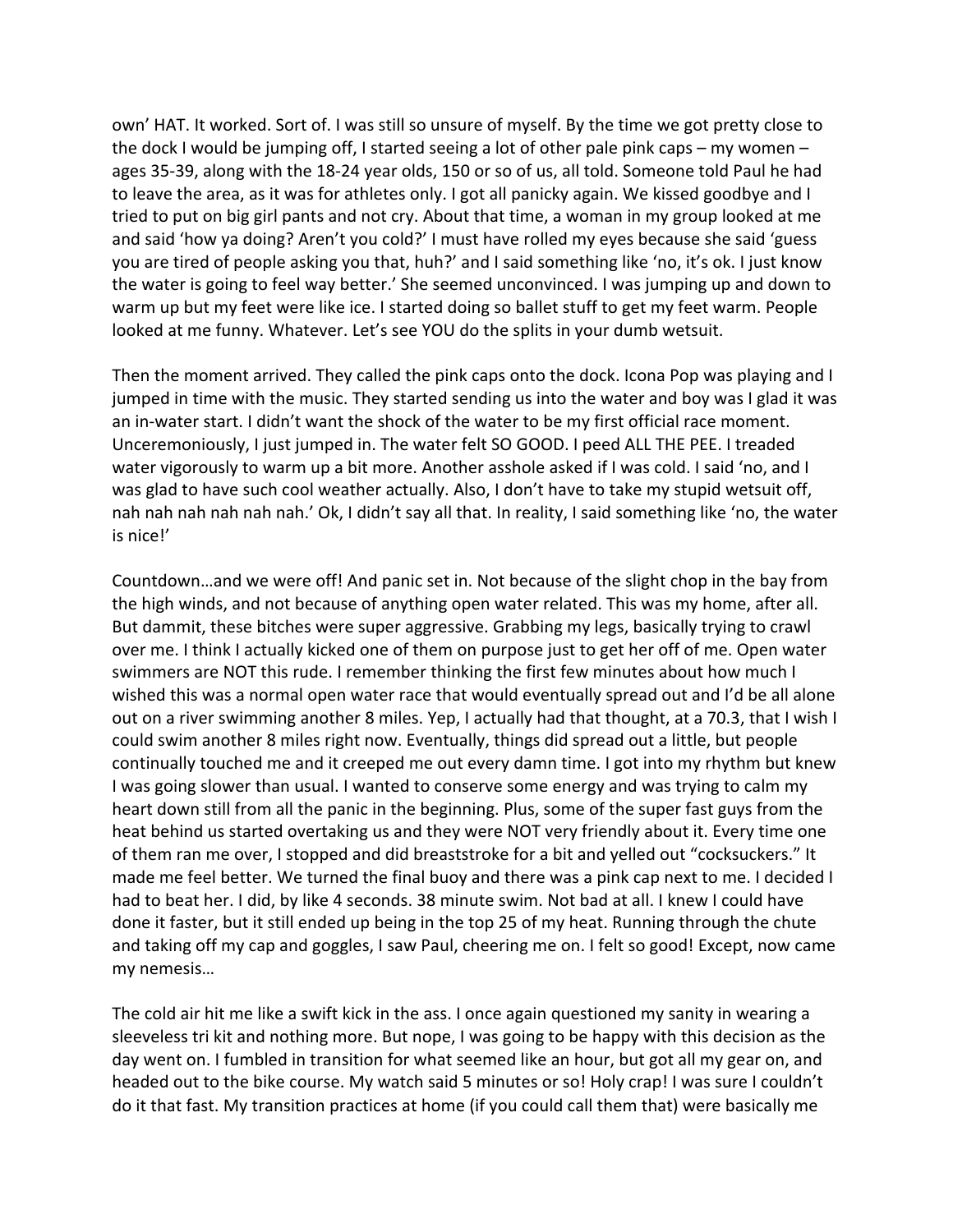own' HAT. It worked. Sort of. I was still so unsure of myself. By the time we got pretty close to the dock I would be jumping off, I started seeing a lot of other pale pink caps – my women – ages 35-39, along with the 18-24 year olds, 150 or so of us, all told. Someone told Paul he had to leave the area, as it was for athletes only. I got all panicky again. We kissed goodbye and I tried to put on big girl pants and not cry. About that time, a woman in my group looked at me and said 'how ya doing? Aren't you cold?' I must have rolled my eyes because she said 'guess you are tired of people asking you that, huh?' and I said something like 'no, it's ok. I just know the water is going to feel way better.' She seemed unconvinced. I was jumping up and down to warm up but my feet were like ice. I started doing so ballet stuff to get my feet warm. People looked at me funny. Whatever. Let's see YOU do the splits in your dumb wetsuit.

Then the moment arrived. They called the pink caps onto the dock. Icona Pop was playing and I jumped in time with the music. They started sending us into the water and boy was I glad it was an in-water start. I didn't want the shock of the water to be my first official race moment. Unceremoniously, I just jumped in. The water felt SO GOOD. I peed ALL THE PEE. I treaded water vigorously to warm up a bit more. Another asshole asked if I was cold. I said 'no, and I was glad to have such cool weather actually. Also, I don't have to take my stupid wetsuit off, nah nah nah nah nah nah.' Ok, I didn't say all that. In reality, I said something like 'no, the water is nice!'

Countdown...and we were off! And panic set in. Not because of the slight chop in the bay from the high winds, and not because of anything open water related. This was my home, after all. But dammit, these bitches were super aggressive. Grabbing my legs, basically trying to crawl over me. I think I actually kicked one of them on purpose just to get her off of me. Open water swimmers are NOT this rude. I remember thinking the first few minutes about how much I wished this was a normal open water race that would eventually spread out and I'd be all alone out on a river swimming another 8 miles. Yep, I actually had that thought, at a 70.3, that I wish I could swim another 8 miles right now. Eventually, things did spread out a little, but people continually touched me and it creeped me out every damn time. I got into my rhythm but knew I was going slower than usual. I wanted to conserve some energy and was trying to calm my heart down still from all the panic in the beginning. Plus, some of the super fast guys from the heat behind us started overtaking us and they were NOT very friendly about it. Every time one of them ran me over, I stopped and did breaststroke for a bit and yelled out "cocksuckers." It made me feel better. We turned the final buoy and there was a pink cap next to me. I decided I had to beat her. I did, by like 4 seconds. 38 minute swim. Not bad at all. I knew I could have done it faster, but it still ended up being in the top 25 of my heat. Running through the chute and taking off my cap and goggles, I saw Paul, cheering me on. I felt so good! Except, now came my nemesis…

The cold air hit me like a swift kick in the ass. I once again questioned my sanity in wearing a sleeveless tri kit and nothing more. But nope, I was going to be happy with this decision as the day went on. I fumbled in transition for what seemed like an hour, but got all my gear on, and headed out to the bike course. My watch said 5 minutes or so! Holy crap! I was sure I couldn't do it that fast. My transition practices at home (if you could call them that) were basically me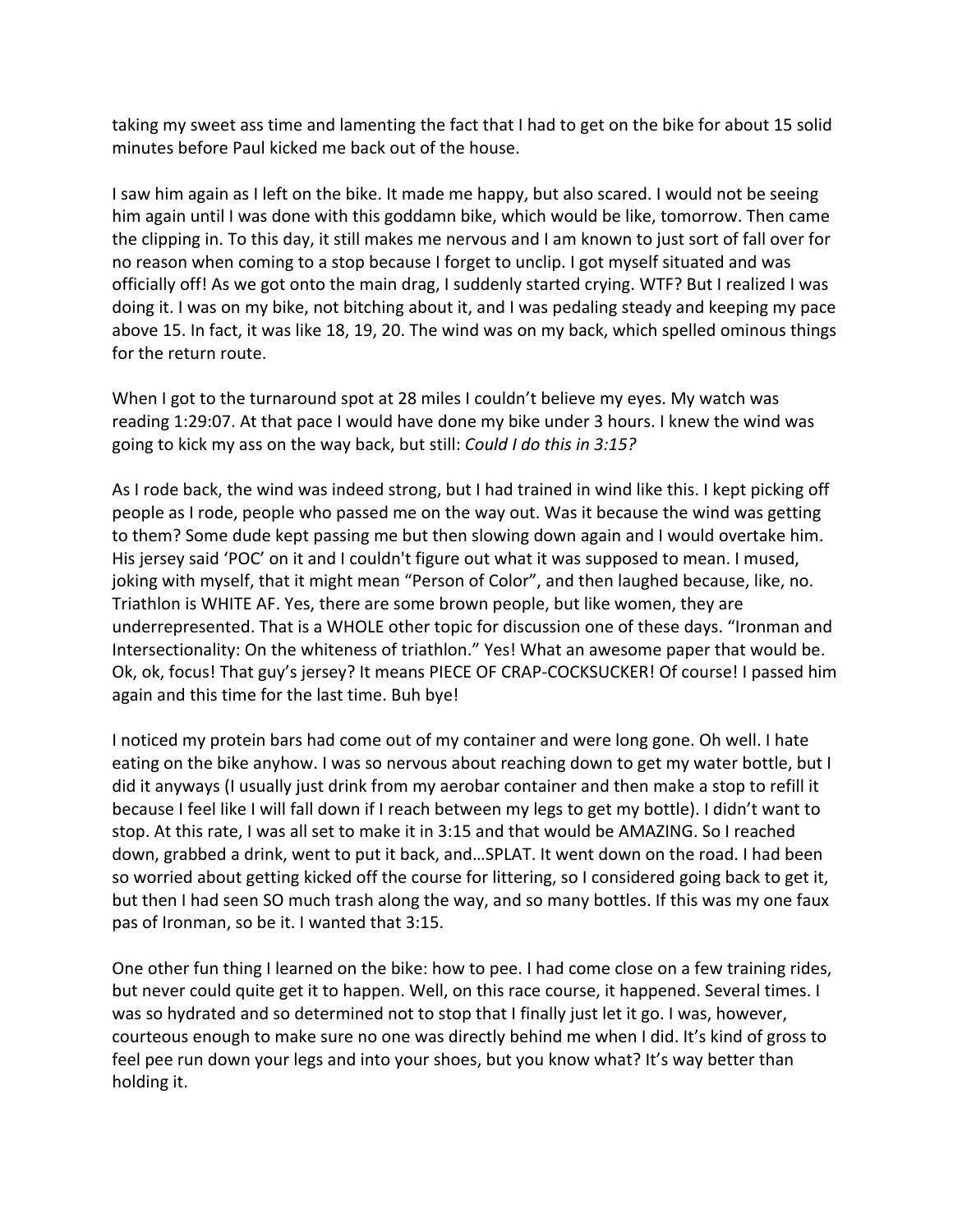taking my sweet ass time and lamenting the fact that I had to get on the bike for about 15 solid minutes before Paul kicked me back out of the house.

I saw him again as I left on the bike. It made me happy, but also scared. I would not be seeing him again until I was done with this goddamn bike, which would be like, tomorrow. Then came the clipping in. To this day, it still makes me nervous and I am known to just sort of fall over for no reason when coming to a stop because I forget to unclip. I got myself situated and was officially off! As we got onto the main drag, I suddenly started crying. WTF? But I realized I was doing it. I was on my bike, not bitching about it, and I was pedaling steady and keeping my pace above 15. In fact, it was like 18, 19, 20. The wind was on my back, which spelled ominous things for the return route.

When I got to the turnaround spot at 28 miles I couldn't believe my eyes. My watch was reading 1:29:07. At that pace I would have done my bike under 3 hours. I knew the wind was going to kick my ass on the way back, but still: *Could I do this in 3:15?* 

As I rode back, the wind was indeed strong, but I had trained in wind like this. I kept picking off people as I rode, people who passed me on the way out. Was it because the wind was getting to them? Some dude kept passing me but then slowing down again and I would overtake him. His jersey said 'POC' on it and I couldn't figure out what it was supposed to mean. I mused, joking with myself, that it might mean "Person of Color", and then laughed because, like, no. Triathlon is WHITE AF. Yes, there are some brown people, but like women, they are underrepresented. That is a WHOLE other topic for discussion one of these days. "Ironman and Intersectionality: On the whiteness of triathlon." Yes! What an awesome paper that would be. Ok, ok, focus! That guy's jersey? It means PIECE OF CRAP-COCKSUCKER! Of course! I passed him again and this time for the last time. Buh bye!

I noticed my protein bars had come out of my container and were long gone. Oh well. I hate eating on the bike anyhow. I was so nervous about reaching down to get my water bottle, but I did it anyways (I usually just drink from my aerobar container and then make a stop to refill it because I feel like I will fall down if I reach between my legs to get my bottle). I didn't want to stop. At this rate, I was all set to make it in 3:15 and that would be AMAZING. So I reached down, grabbed a drink, went to put it back, and...SPLAT. It went down on the road. I had been so worried about getting kicked off the course for littering, so I considered going back to get it, but then I had seen SO much trash along the way, and so many bottles. If this was my one faux pas of Ironman, so be it. I wanted that 3:15.

One other fun thing I learned on the bike: how to pee. I had come close on a few training rides, but never could quite get it to happen. Well, on this race course, it happened. Several times. I was so hydrated and so determined not to stop that I finally just let it go. I was, however, courteous enough to make sure no one was directly behind me when I did. It's kind of gross to feel pee run down your legs and into your shoes, but you know what? It's way better than holding it.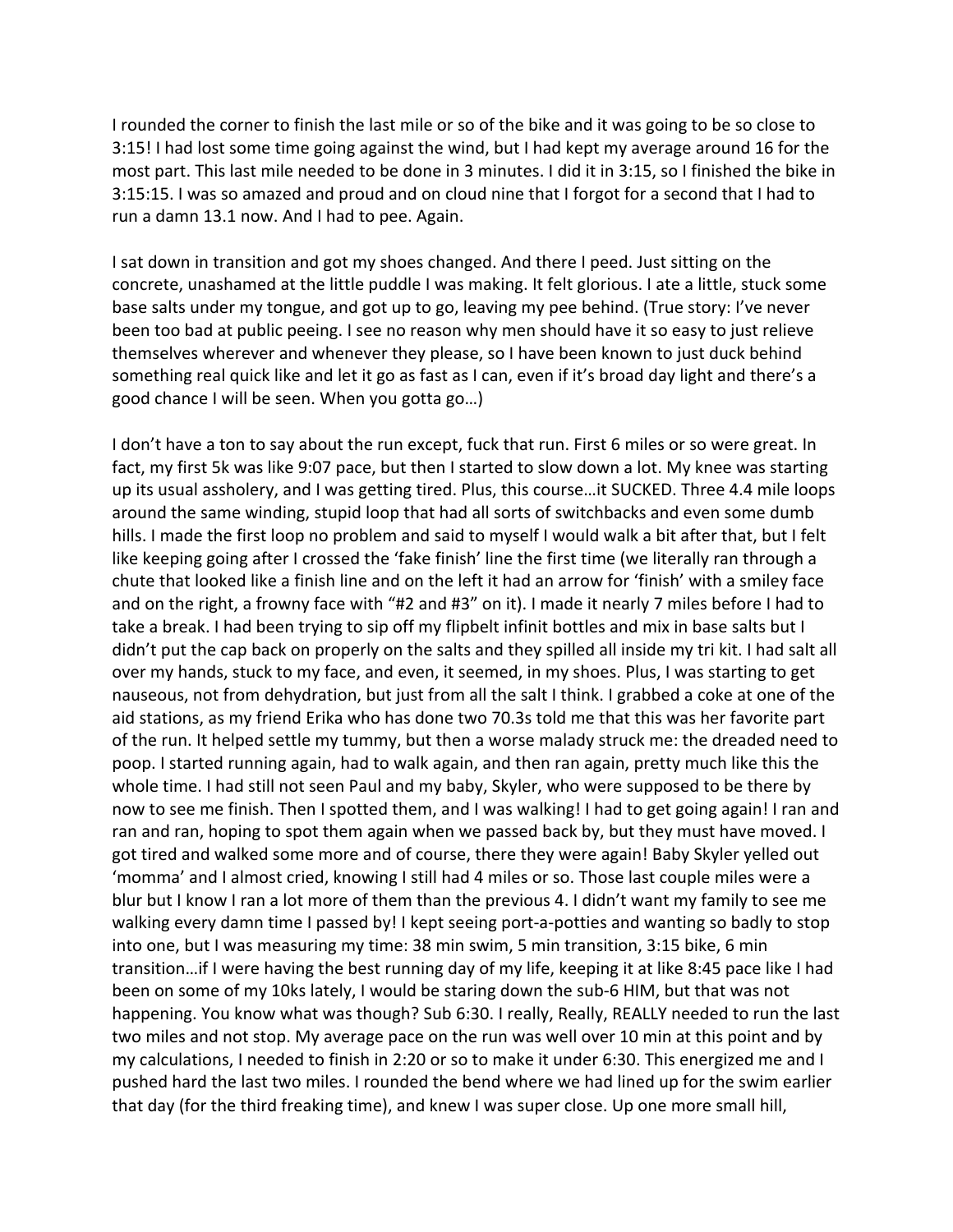I rounded the corner to finish the last mile or so of the bike and it was going to be so close to 3:15! I had lost some time going against the wind, but I had kept my average around 16 for the most part. This last mile needed to be done in 3 minutes. I did it in 3:15, so I finished the bike in 3:15:15. I was so amazed and proud and on cloud nine that I forgot for a second that I had to run a damn 13.1 now. And I had to pee. Again.

I sat down in transition and got my shoes changed. And there I peed. Just sitting on the concrete, unashamed at the little puddle I was making. It felt glorious. I ate a little, stuck some base salts under my tongue, and got up to go, leaving my pee behind. (True story: I've never been too bad at public peeing. I see no reason why men should have it so easy to just relieve themselves wherever and whenever they please, so I have been known to just duck behind something real quick like and let it go as fast as I can, even if it's broad day light and there's a good chance I will be seen. When you gotta go...)

I don't have a ton to say about the run except, fuck that run. First 6 miles or so were great. In fact, my first 5k was like 9:07 pace, but then I started to slow down a lot. My knee was starting up its usual assholery, and I was getting tired. Plus, this course...it SUCKED. Three 4.4 mile loops around the same winding, stupid loop that had all sorts of switchbacks and even some dumb hills. I made the first loop no problem and said to myself I would walk a bit after that, but I felt like keeping going after I crossed the 'fake finish' line the first time (we literally ran through a chute that looked like a finish line and on the left it had an arrow for 'finish' with a smiley face and on the right, a frowny face with "#2 and #3" on it). I made it nearly 7 miles before I had to take a break. I had been trying to sip off my flipbelt infinit bottles and mix in base salts but I didn't put the cap back on properly on the salts and they spilled all inside my tri kit. I had salt all over my hands, stuck to my face, and even, it seemed, in my shoes. Plus, I was starting to get nauseous, not from dehydration, but just from all the salt I think. I grabbed a coke at one of the aid stations, as my friend Erika who has done two 70.3s told me that this was her favorite part of the run. It helped settle my tummy, but then a worse malady struck me: the dreaded need to poop. I started running again, had to walk again, and then ran again, pretty much like this the whole time. I had still not seen Paul and my baby, Skyler, who were supposed to be there by now to see me finish. Then I spotted them, and I was walking! I had to get going again! I ran and ran and ran, hoping to spot them again when we passed back by, but they must have moved. I got tired and walked some more and of course, there they were again! Baby Skyler yelled out 'momma' and I almost cried, knowing I still had 4 miles or so. Those last couple miles were a blur but I know I ran a lot more of them than the previous 4. I didn't want my family to see me walking every damn time I passed by! I kept seeing port-a-potties and wanting so badly to stop into one, but I was measuring my time: 38 min swim, 5 min transition, 3:15 bike, 6 min transition...if I were having the best running day of my life, keeping it at like 8:45 pace like I had been on some of my 10ks lately, I would be staring down the sub-6 HIM, but that was not happening. You know what was though? Sub 6:30. I really, Really, REALLY needed to run the last two miles and not stop. My average pace on the run was well over 10 min at this point and by my calculations, I needed to finish in 2:20 or so to make it under 6:30. This energized me and I pushed hard the last two miles. I rounded the bend where we had lined up for the swim earlier that day (for the third freaking time), and knew I was super close. Up one more small hill,